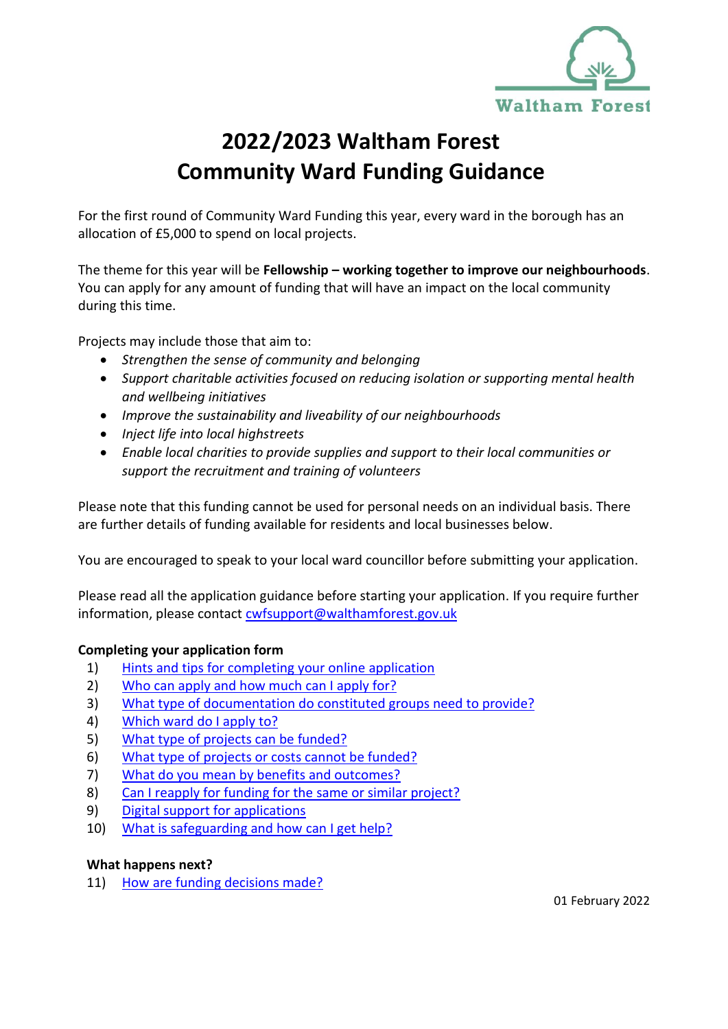

# **2022/2023 Waltham Forest Community Ward Funding Guidance**

For the first round of Community Ward Funding this year, every ward in the borough has an allocation of £5,000 to spend on local projects.

The theme for this year will be **Fellowship – working together to improve our neighbourhoods**. You can apply for any amount of funding that will have an impact on the local community during this time.

Projects may include those that aim to:

- *Strengthen the sense of community and belonging*
- *Support charitable activities focused on reducing isolation or supporting mental health and wellbeing initiatives*
- *Improve the sustainability and liveability of our neighbourhoods*
- *Inject life into local highstreets*
- *Enable local charities to provide supplies and support to their local communities or support the recruitment and training of volunteers*

Please note that this funding cannot be used for personal needs on an individual basis. There are further details of funding available for residents and local businesses below.

You are encouraged to speak to your local ward councillor before submitting your application.

Please read all the application guidance before starting your application. If you require further information, please contact [cwfsupport@walthamforest.gov.uk](mailto:cwfsupport@walthamforest.gov.uk)

## **Completing your application form**

- 1) [Hints and tips for completing your online application](#page-2-0)
- 2) [Who can apply and how much can I apply for?](#page-2-1)
- 3) What type [of documentation do constituted groups need to provide?](#page-2-2)
- 4) [Which ward do](#page-3-0) I apply to?
- 5) [What type of projects can be funded?](#page-3-1)
- 6) [What type of projects or costs cannot be funded?](#page-4-0)
- 7) [What do you mean by benefits and outcomes?](#page-4-1)
- 8) [Can I reapply for funding for the same or similar project?](#page-5-0)
- 9) [Digital support for applications](#page-5-1)
- 10) [What is safeguarding and how can I get help?](#page-5-2)

## **What happens next?**

11) [How are funding decisions made?](#page-6-0)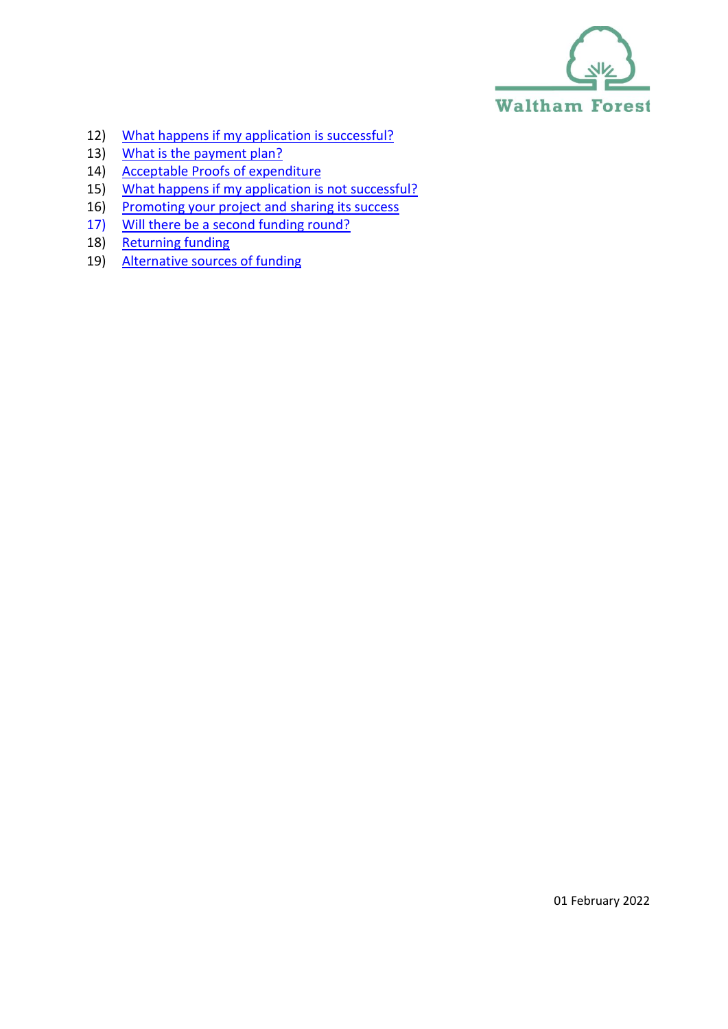

- 12) [What happens if my application is successful?](#page-6-1)
- 13) [What is the payment plan?](#page-7-0)
- 14) [Acceptable Proofs of expenditure](#page-7-1)
- 15) [What happens if my application is not successful?](#page-8-0)
- 16) [Promoting your project and sharing its success](#page-8-1)
- 17) [Will there be a second funding round?](#page-9-0)
- 18) [Returning funding](#page-9-1)
- 19) [Alternative sources of funding](#page-9-2)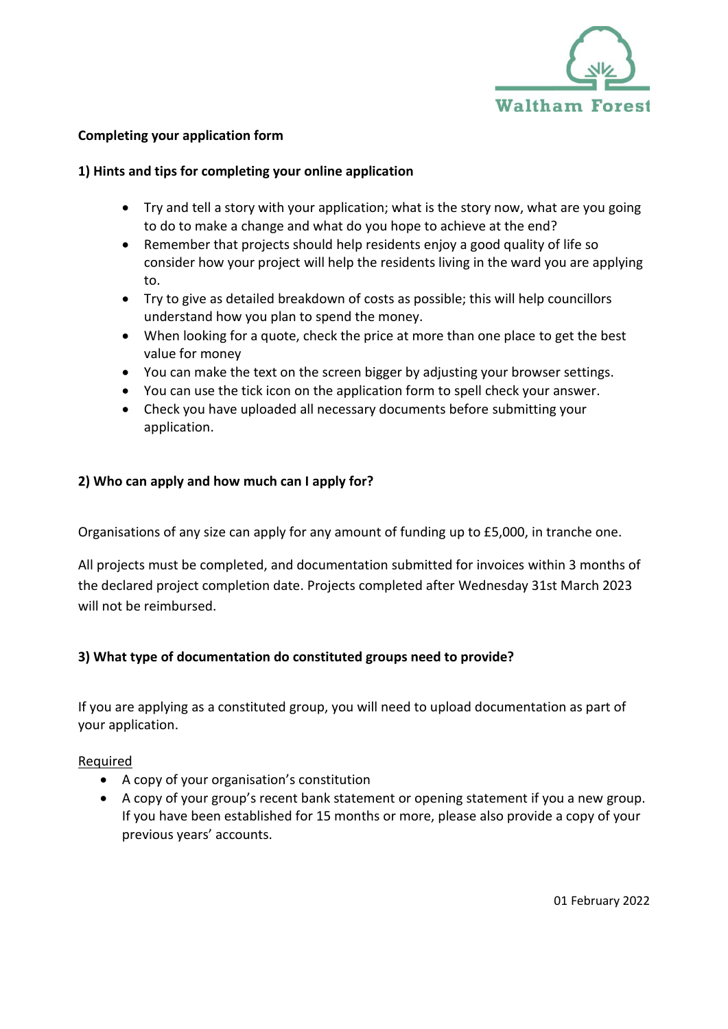

## <span id="page-2-0"></span>**Completing your application form**

## **1) Hints and tips for completing your online application**

- Try and tell a story with your application; what is the story now, what are you going to do to make a change and what do you hope to achieve at the end?
- Remember that projects should help residents enjoy a good quality of life so consider how your project will help the residents living in the ward you are applying to.
- Try to give as detailed breakdown of costs as possible; this will help councillors understand how you plan to spend the money.
- When looking for a quote, check the price at more than one place to get the best value for money
- You can make the text on the screen bigger by adjusting your browser settings.
- You can use the tick icon on the application form to spell check your answer.
- Check you have uploaded all necessary documents before submitting your application.

## <span id="page-2-1"></span>**2) Who can apply and how much can I apply for?**

Organisations of any size can apply for any amount of funding up to £5,000, in tranche one.

All projects must be completed, and documentation submitted for invoices within 3 months of the declared project completion date. Projects completed after Wednesday 31st March 2023 will not be reimbursed.

# <span id="page-2-2"></span>**3) What type of documentation do constituted groups need to provide?**

If you are applying as a constituted group, you will need to upload documentation as part of your application.

## Required

- A copy of your organisation's constitution
- A copy of your group's recent bank statement or opening statement if you a new group. If you have been established for 15 months or more, please also provide a copy of your previous years' accounts.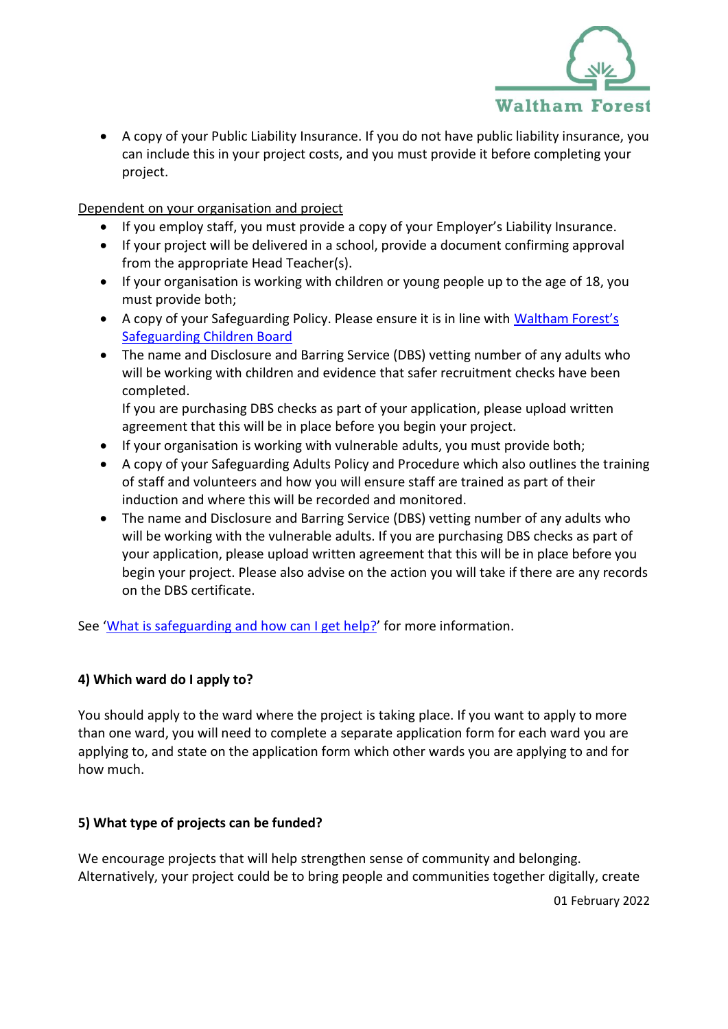

• A copy of your Public Liability Insurance. If you do not have public liability insurance, you can include this in your project costs, and you must provide it before completing your project.

# Dependent on your organisation and project

- If you employ staff, you must provide a copy of your Employer's Liability Insurance.
- If your project will be delivered in a school, provide a document confirming approval from the appropriate Head Teacher(s).
- If your organisation is working with children or young people up to the age of 18, you must provide both;
- A copy of your Safeguarding Policy. Please ensure it is in line with Waltham Forest's [Safeguarding Children Board](https://www.walthamforest.gov.uk/families-young-people-and-children/child-protection/waltham-forest-safeguarding-children-board)
- The name and Disclosure and Barring Service (DBS) vetting number of any adults who will be working with children and evidence that safer recruitment checks have been completed.

If you are purchasing DBS checks as part of your application, please upload written agreement that this will be in place before you begin your project.

- If your organisation is working with vulnerable adults, you must provide both;
- A copy of your Safeguarding Adults Policy and Procedure which also outlines the training of staff and volunteers and how you will ensure staff are trained as part of their induction and where this will be recorded and monitored.
- The name and Disclosure and Barring Service (DBS) vetting number of any adults who will be working with the vulnerable adults. If you are purchasing DBS checks as part of your application, please upload written agreement that this will be in place before you begin your project. Please also advise on the action you will take if there are any records on the DBS certificate.

See '[What is safeguarding and how can I get help?](#page-5-2)' for more information.

# <span id="page-3-0"></span>**4) Which ward do I apply to?**

You should apply to the ward where the project is taking place. If you want to apply to more than one ward, you will need to complete a separate application form for each ward you are applying to, and state on the application form which other wards you are applying to and for how much.

# <span id="page-3-1"></span>**5) What type of projects can be funded?**

We encourage projects that will help strengthen sense of community and belonging. Alternatively, your project could be to bring people and communities together digitally, create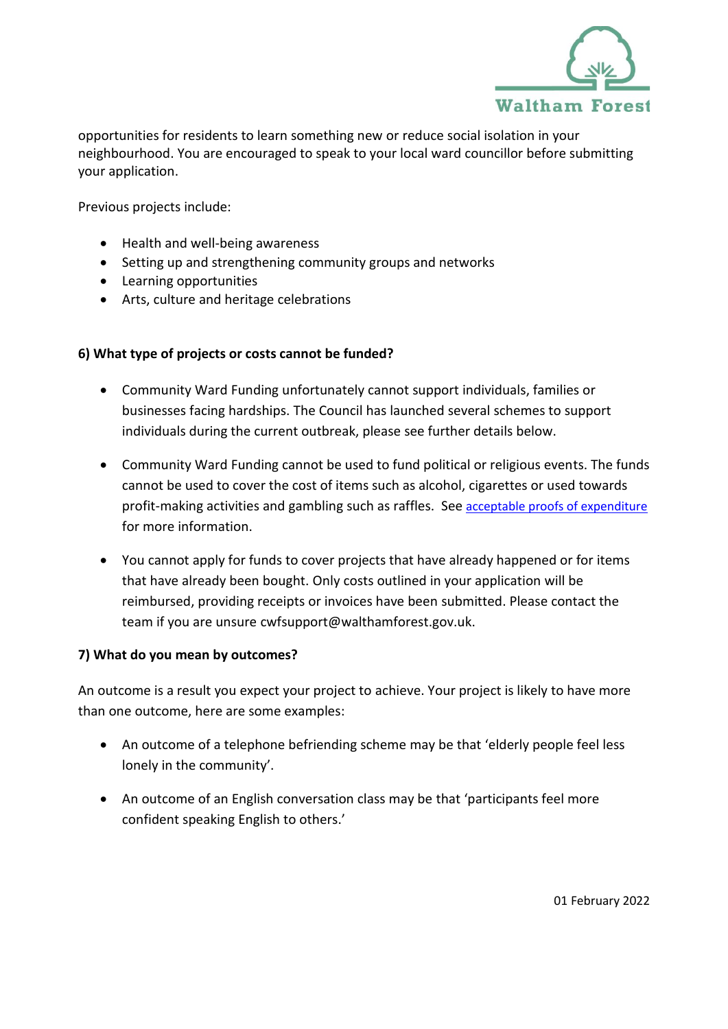

opportunities for residents to learn something new or reduce social isolation in your neighbourhood. You are encouraged to speak to your local ward councillor before submitting your application.

Previous projects include:

- Health and well-being awareness
- Setting up and strengthening community groups and networks
- Learning opportunities
- Arts, culture and heritage celebrations

# <span id="page-4-0"></span>**6) What type of projects or costs cannot be funded?**

- Community Ward Funding unfortunately cannot support individuals, families or businesses facing hardships. The Council has launched several schemes to support individuals during the current outbreak, please see further details below.
- Community Ward Funding cannot be used to fund political or religious events. The funds cannot be used to cover the cost of items such as alcohol, cigarettes or used towards profit-making activities and gambling such as raffles. See [acceptable proofs of expenditure](#page-7-1) for more information.
- You cannot apply for funds to cover projects that have already happened or for items that have already been bought. Only costs outlined in your application will be reimbursed, providing receipts or invoices have been submitted. Please contact the team if you are unsure cwfsupport@walthamforest.gov.uk.

## <span id="page-4-1"></span>**7) What do you mean by outcomes?**

An outcome is a result you expect your project to achieve. Your project is likely to have more than one outcome, here are some examples:

- An outcome of a telephone befriending scheme may be that 'elderly people feel less lonely in the community'.
- An outcome of an English conversation class may be that 'participants feel more confident speaking English to others.'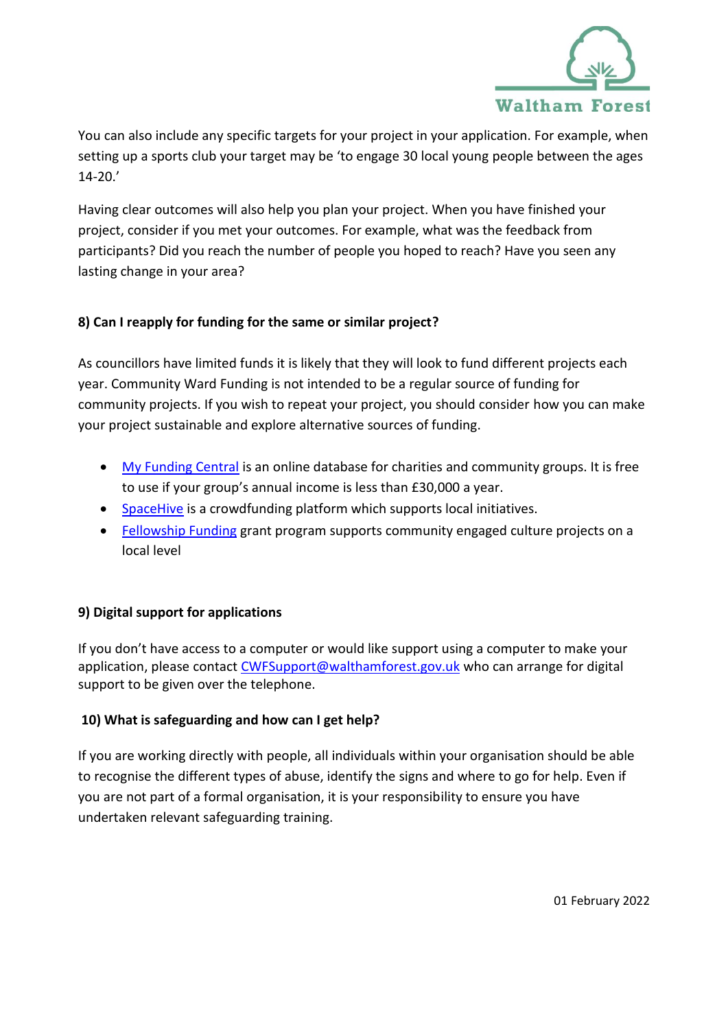

You can also include any specific targets for your project in your application. For example, when setting up a sports club your target may be 'to engage 30 local young people between the ages 14-20.'

Having clear outcomes will also help you plan your project. When you have finished your project, consider if you met your outcomes. For example, what was the feedback from participants? Did you reach the number of people you hoped to reach? Have you seen any lasting change in your area?

# <span id="page-5-0"></span>**8) Can I reapply for funding for the same or similar project?**

As councillors have limited funds it is likely that they will look to fund different projects each year. Community Ward Funding is not intended to be a regular source of funding for community projects. If you wish to repeat your project, you should consider how you can make your project sustainable and explore alternative sources of funding.

- My [Funding Central](https://www.myfundingcentral.co.uk/) is an online database for charities and community groups. It is free to use if your group's annual income is less than £30,000 a year.
- [SpaceHive](https://www.spacehive.com/) is a crowdfunding platform which supports local initiatives.
- [Fellowship Funding](https://wfculture.co.uk/fellowshipfunding) grant program supports community engaged culture projects on a local level

# <span id="page-5-1"></span>**9) Digital support for applications**

<span id="page-5-2"></span>If you don't have access to a computer or would like support using a computer to make your application, please contact [CWFSupport@walthamforest.gov.uk](mailto:CWFSupport@walthamforest.gov.uk) who can arrange for digital support to be given over the telephone.

# **10) What is safeguarding and how can I get help?**

If you are working directly with people, all individuals within your organisation should be able to recognise the different types of abuse, identify the signs and where to go for help. Even if you are not part of a formal organisation, it is your responsibility to ensure you have undertaken relevant safeguarding training.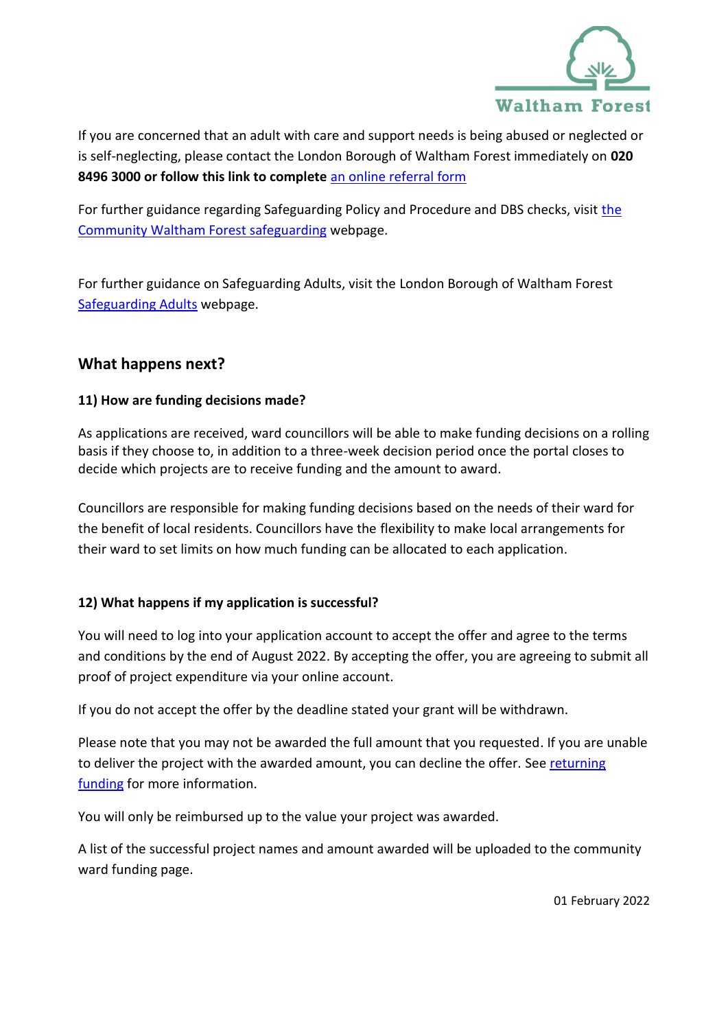

If you are concerned that an adult with care and support needs is being abused or neglected or is self-neglecting, please contact the London Borough of Waltham Forest immediately on **020 8496 3000 or follow this link to complete** [an online referral form](https://www.walthamforest.gov.uk/sites/default/files/2021-11/LBWF%20MASH%20Referral%20form.doc)

For further guidance regarding Safeguarding Policy and Procedure and DBS checks, visit [the](https://www.walthamforest.gov.uk/families-young-people-and-children/child-protection/multi-agency-safeguarding-hub-mash)  [Community Waltham Forest safeguarding](https://www.walthamforest.gov.uk/families-young-people-and-children/child-protection/multi-agency-safeguarding-hub-mash) webpage.

For further guidance on Safeguarding Adults, visit the London Borough of Waltham Forest [Safeguarding Adults](https://www.walthamforest.gov.uk/adult-social-care/protecting-vulnerable-adults/safeguarding-adults-board-sab) webpage.

# **What happens next?**

# <span id="page-6-0"></span>**11) How are funding decisions made?**

As applications are received, ward councillors will be able to make funding decisions on a rolling basis if they choose to, in addition to a three-week decision period once the portal closes to decide which projects are to receive funding and the amount to award.

Councillors are responsible for making funding decisions based on the needs of their ward for the benefit of local residents. Councillors have the flexibility to make local arrangements for their ward to set limits on how much funding can be allocated to each application.

# <span id="page-6-1"></span>**12) What happens if my application is successful?**

You will need to log into your application account to accept the offer and agree to the terms and conditions by the end of August 2022. By accepting the offer, you are agreeing to submit all proof of project expenditure via your online account.

If you do not accept the offer by the deadline stated your grant will be withdrawn.

Please note that you may not be awarded the full amount that you requested. If you are unable to deliver the project with the awarded amount, you can decline the offer. Se[e returning](#page-9-1)  [funding](#page-9-1) for more information.

You will only be reimbursed up to the value your project was awarded.

A list of the successful project names and amount awarded will be uploaded to the community ward funding page.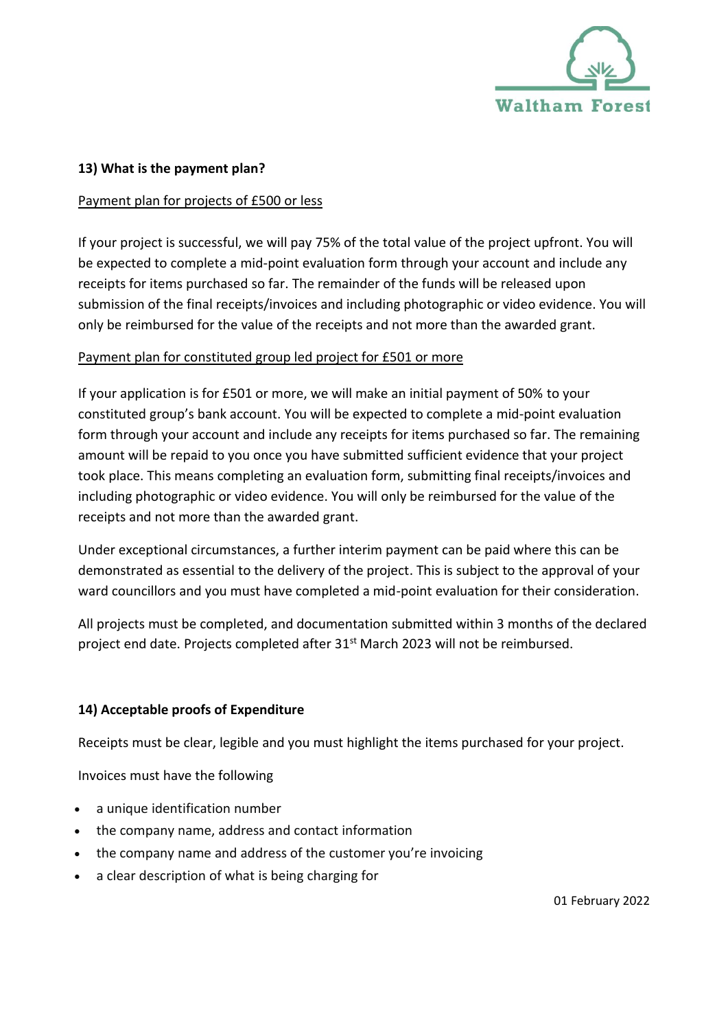

## <span id="page-7-0"></span>**13) What is the payment plan?**

## Payment plan for projects of £500 or less

If your project is successful, we will pay 75% of the total value of the project upfront. You will be expected to complete a mid-point evaluation form through your account and include any receipts for items purchased so far. The remainder of the funds will be released upon submission of the final receipts/invoices and including photographic or video evidence. You will only be reimbursed for the value of the receipts and not more than the awarded grant.

# Payment plan for constituted group led project for £501 or more

If your application is for £501 or more, we will make an initial payment of 50% to your constituted group's bank account. You will be expected to complete a mid-point evaluation form through your account and include any receipts for items purchased so far. The remaining amount will be repaid to you once you have submitted sufficient evidence that your project took place. This means completing an evaluation form, submitting final receipts/invoices and including photographic or video evidence. You will only be reimbursed for the value of the receipts and not more than the awarded grant.

Under exceptional circumstances, a further interim payment can be paid where this can be demonstrated as essential to the delivery of the project. This is subject to the approval of your ward councillors and you must have completed a mid-point evaluation for their consideration.

All projects must be completed, and documentation submitted within 3 months of the declared project end date. Projects completed after 31<sup>st</sup> March 2023 will not be reimbursed.

# <span id="page-7-1"></span>**14) Acceptable proofs of Expenditure**

Receipts must be clear, legible and you must highlight the items purchased for your project.

Invoices must have the following

- a unique identification number
- the company name, address and contact information
- the company name and address of the customer you're invoicing
- a clear description of what is being charging for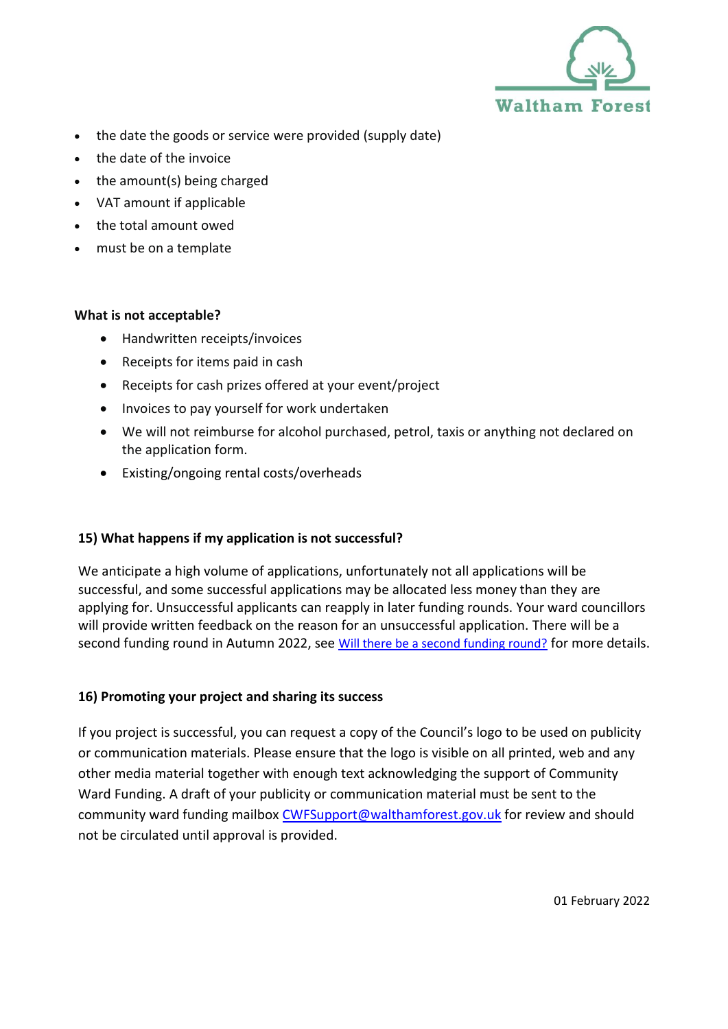

- the date the goods or service were provided (supply date)
- the date of the invoice
- the amount(s) being charged
- VAT amount if applicable
- the total amount owed
- must be on a template

## **What is not acceptable?**

- Handwritten receipts/invoices
- Receipts for items paid in cash
- Receipts for cash prizes offered at your event/project
- Invoices to pay yourself for work undertaken
- We will not reimburse for alcohol purchased, petrol, taxis or anything not declared on the application form.
- Existing/ongoing rental costs/overheads

# <span id="page-8-0"></span>**15) What happens if my application is not successful?**

We anticipate a high volume of applications, unfortunately not all applications will be successful, and some successful applications may be allocated less money than they are applying for. Unsuccessful applicants can reapply in later funding rounds. Your ward councillors will provide written feedback on the reason for an unsuccessful application. There will be a second funding round in Autumn 2022, se[e](#page-9-0) [Will there be a second funding round?](#page-9-0) for more details.

## <span id="page-8-1"></span>**16) Promoting your project and sharing its success**

If you project is successful, you can request a copy of the Council's logo to be used on publicity or communication materials. Please ensure that the logo is visible on all printed, web and any other media material together with enough text acknowledging the support of Community Ward Funding. A draft of your publicity or communication material must be sent to the community ward funding mailbox [CWFSupport@walthamforest.gov.uk](mailto:cwfsupport@walthamforest.gov.uk) for review and should not be circulated until approval is provided.